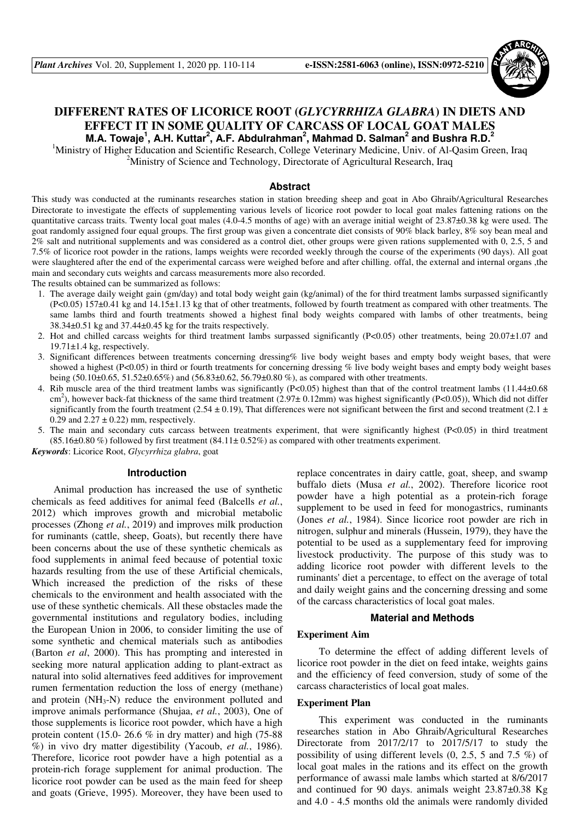

# **DIFFERENT RATES OF LICORICE ROOT (***GLYCYRRHIZA GLABRA***) IN DIETS AND EFFECT IT IN SOME QUALITY OF CARCASS OF LOCAL GOAT MALES M.A. Towaje<sup>1</sup> , A.H. Kuttar<sup>2</sup> , A.F. Abdulrahman<sup>2</sup> , Mahmad D. Salman<sup>2</sup> and Bushra R.D.<sup>2</sup>**

<sup>1</sup>Ministry of Higher Education and Scientific Research, College Veterinary Medicine, Univ. of Al-Qasim Green, Iraq <sup>2</sup>Ministry of Science and Technology, Directorate of Agricultural Research, Iraq

## **Abstract**

This study was conducted at the ruminants researches station in station breeding sheep and goat in Abo Ghraib/Agricultural Researches Directorate to investigate the effects of supplementing various levels of licorice root powder to local goat males fattening rations on the quantitative carcass traits. Twenty local goat males (4.0-4.5 months of age) with an average initial weight of 23.87±0.38 kg were used. The goat randomly assigned four equal groups. The first group was given a concentrate diet consists of 90% black barley, 8% soy bean meal and 2% salt and nutritional supplements and was considered as a control diet, other groups were given rations supplemented with 0, 2.5, 5 and 7.5% of licorice root powder in the rations, lamps weights were recorded weekly through the course of the experiments (90 days). All goat were slaughtered after the end of the experimental carcass were weighed before and after chilling. offal, the external and internal organs ,the main and secondary cuts weights and carcass measurements more also recorded.

The results obtained can be summarized as follows:

- 1. The average daily weight gain (gm/day) and total body weight gain (kg/animal) of the for third treatment lambs surpassed significantly (P<0.05) 157±0.41 kg and 14.15±1.13 kg that of other treatments, followed by fourth treatment as compared with other treatments. The same lambs third and fourth treatments showed a highest final body weights compared with lambs of other treatments, being 38.34±0.51 kg and 37.44±0.45 kg for the traits respectively.
- 2. Hot and chilled carcass weights for third treatment lambs surpassed significantly (P<0.05) other treatments, being 20.07±1.07 and  $19.71 \pm 1.4$  kg, respectively.
- 3. Significant differences between treatments concerning dressing% live body weight bases and empty body weight bases, that were showed a highest (P<0.05) in third or fourth treatments for concerning dressing % live body weight bases and empty body weight bases being (50.10 $\pm$ 0.65, 51.52 $\pm$ 0.65%) and (56.83 $\pm$ 0.62, 56.79 $\pm$ 0.80%), as compared with other treatments.
- 4. Rib muscle area of the third treatment lambs was significantly (P<0.05) highest than that of the control treatment lambs (11.44±0.68  $\text{cm}^2$ ), however back-fat thickness of the same third treatment (2.97 $\pm$  0.12mm) was highest significantly (P<0.05)), Which did not differ significantly from the fourth treatment (2.54  $\pm$  0.19), That differences were not significant between the first and second treatment (2.1  $\pm$ 0.29 and  $2.27 \pm 0.22$ ) mm, respectively.
- 5. The main and secondary cuts carcass between treatments experiment, that were significantly highest (P<0.05) in third treatment  $(85.16\pm0.80\%)$  followed by first treatment  $(84.11\pm0.52\%)$  as compared with other treatments experiment.

*Keywords*: Licorice Root, *Glycyrrhiza glabra*, goat

## **Introduction**

Animal production has increased the use of synthetic chemicals as feed additives for animal feed (Balcells *et al.*, 2012) which improves growth and microbial metabolic processes (Zhong *et al.*, 2019) and improves milk production for ruminants (cattle, sheep, Goats), but recently there have been concerns about the use of these synthetic chemicals as food supplements in animal feed because of potential toxic hazards resulting from the use of these Artificial chemicals, Which increased the prediction of the risks of these chemicals to the environment and health associated with the use of these synthetic chemicals. All these obstacles made the governmental institutions and regulatory bodies, including the European Union in 2006, to consider limiting the use of some synthetic and chemical materials such as antibodies (Barton *et al*, 2000). This has prompting and interested in seeking more natural application adding to plant-extract as natural into solid alternatives feed additives for improvement rumen fermentation reduction the loss of energy (methane) and protein  $(NH_3-N)$  reduce the environment polluted and improve animals performance (Shujaa, *et al.*, 2003), One of those supplements is licorice root powder, which have a high protein content (15.0- 26.6  $%$  in dry matter) and high (75-88) %) in vivo dry matter digestibility (Yacoub, *et al.*, 1986). Therefore, licorice root powder have a high potential as a protein-rich forage supplement for animal production. The licorice root powder can be used as the main feed for sheep and goats (Grieve, 1995). Moreover, they have been used to

replace concentrates in dairy cattle, goat, sheep, and swamp buffalo diets (Musa *et al.*, 2002). Therefore licorice root powder have a high potential as a protein-rich forage supplement to be used in feed for monogastrics, ruminants (Jones *et al.*, 1984). Since licorice root powder are rich in nitrogen, sulphur and minerals (Hussein, 1979), they have the potential to be used as a supplementary feed for improving livestock productivity. The purpose of this study was to adding licorice root powder with different levels to the ruminants' diet a percentage, to effect on the average of total and daily weight gains and the concerning dressing and some of the carcass characteristics of local goat males.

#### **Material and Methods**

## **Experiment Aim**

To determine the effect of adding different levels of licorice root powder in the diet on feed intake, weights gains and the efficiency of feed conversion, study of some of the carcass characteristics of local goat males.

### **Experiment Plan**

This experiment was conducted in the ruminants researches station in Abo Ghraib/Agricultural Researches Directorate from 2017/2/17 to 2017/5/17 to study the possibility of using different levels (0, 2.5, 5 and 7.5 %) of local goat males in the rations and its effect on the growth performance of awassi male lambs which started at 8/6/2017 and continued for 90 days. animals weight 23.87±0.38 Kg and 4.0 - 4.5 months old the animals were randomly divided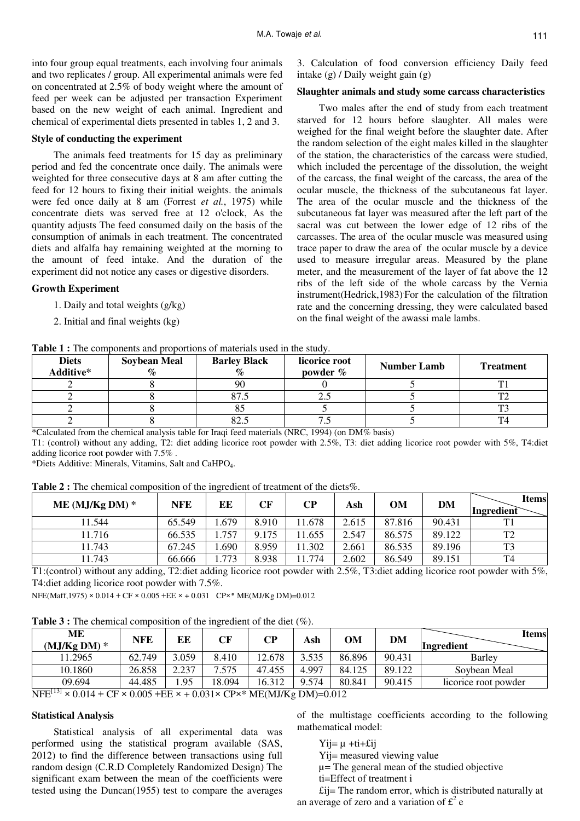into four group equal treatments, each involving four animals and two replicates / group. All experimental animals were fed on concentrated at 2.5% of body weight where the amount of feed per week can be adjusted per transaction Experiment based on the new weight of each animal. Ingredient and chemical of experimental diets presented in tables 1, 2 and 3.

## **Style of conducting the experiment**

The animals feed treatments for 15 day as preliminary period and fed the concentrate once daily. The animals were weighted for three consecutive days at 8 am after cutting the feed for 12 hours to fixing their initial weights. the animals were fed once daily at 8 am (Forrest *et al.*, 1975) while concentrate diets was served free at 12 o'clock, As the quantity adjusts The feed consumed daily on the basis of the consumption of animals in each treatment. The concentrated diets and alfalfa hay remaining weighted at the morning to the amount of feed intake. And the duration of the experiment did not notice any cases or digestive disorders.

### **Growth Experiment**

- 1. Daily and total weights (g/kg)
- 2. Initial and final weights (kg)

**Table 1 :** The components and proportions of materials used in the study.

3. Calculation of food conversion efficiency Daily feed intake (g) / Daily weight gain (g)

## **Slaughter animals and study some carcass characteristics**

Two males after the end of study from each treatment starved for 12 hours before slaughter. All males were weighed for the final weight before the slaughter date. After the random selection of the eight males killed in the slaughter of the station, the characteristics of the carcass were studied, which included the percentage of the dissolution, the weight of the carcass, the final weight of the carcass, the area of the ocular muscle, the thickness of the subcutaneous fat layer. The area of the ocular muscle and the thickness of the subcutaneous fat layer was measured after the left part of the sacral was cut between the lower edge of 12 ribs of the carcasses. The area of the ocular muscle was measured using trace paper to draw the area of the ocular muscle by a device used to measure irregular areas. Measured by the plane meter, and the measurement of the layer of fat above the 12 ribs of the left side of the whole carcass by the Vernia instrument(Hedrick,1983). For the calculation of the filtration rate and the concerning dressing, they were calculated based on the final weight of the awassi male lambs.

| <b>Diets</b><br>Additive* | <b>Soybean Meal</b><br>$\mathcal{O}_{\mathcal{O}}$ | <b>Barley Black</b><br>% | licorice root<br>powder $\%$ | <b>Number Lamb</b> | <b>Treatment</b> |
|---------------------------|----------------------------------------------------|--------------------------|------------------------------|--------------------|------------------|
|                           |                                                    | 90                       |                              |                    |                  |
|                           |                                                    |                          | ر                            |                    |                  |
|                           |                                                    | ΟJ                       |                              |                    |                  |
|                           |                                                    | ل…⁄ 0                    | ر. ر                         |                    |                  |

\*Calculated from the chemical analysis table for Iraqi feed materials (NRC, 1994) (on DM% basis)

T1: (control) without any adding, T2: diet adding licorice root powder with 2.5%, T3: diet adding licorice root powder with 5%, T4:diet adding licorice root powder with 7.5% .

\*Diets Additive: Minerals, Vitamins, Salt and CaHPO4.

**Table 2 :** The chemical composition of the ingredient of treatment of the diets%.

| ME (MJ/Kg DM) $*$ | <b>NFE</b> | ЕE    | CF    | CР    | Ash   | <b>OM</b> | DM     | Items<br>Ingredient |
|-------------------|------------|-------|-------|-------|-------|-----------|--------|---------------------|
| 1.544             | 65.549     | .679  | 8.910 | 1.678 | 2.615 | 87.816    | 90.431 | T1                  |
| 1.716             | 66.535     | 757   | 9.175 | 1.655 | 2.547 | 86.575    | 89.122 | T <sub>2</sub>      |
| 1.743             | 67.245     | .690  | 8.959 | 1.302 | 2.661 | 86.535    | 89.196 | T <sub>3</sub>      |
| 1.743             | 66.666     | 1.773 | 8.938 | 1.774 | 2.602 | 86.549    | 89.151 | T4                  |

T1:(control) without any adding, T2:diet adding licorice root powder with 2.5%, T3:diet adding licorice root powder with 5%, T4:diet adding licorice root powder with 7.5%.

 $NFE(Maff,1975) \times 0.014 + CF \times 0.005 + EE \times + 0.031$   $CP \times^*$  ME(MJ/Kg DM)=0.012

**Table 3 :** The chemical composition of the ingredient of the diet (%).

| МE<br>$(MJ/Kg DM)*$ | <b>NFE</b> | ЕE    | СF     | CР     | Ash   | OM     | DM     | Items<br>Ingredient  |
|---------------------|------------|-------|--------|--------|-------|--------|--------|----------------------|
| 11.2965             | 62.749     | .059  | 8.410  | 12.678 | 3.535 | 86.896 | 90.431 | <b>Barley</b>        |
| 10.1860             | 26.858     | 2.237 | 7.575  | 47.455 | 4.997 | 84.125 | 89.122 | Soybean Meal         |
| 09.694              | 44.485     | . 95  | 18.094 | 16.312 | 9.574 | 80.841 | 90.415 | licorice root powder |

 $NFE^{[13]} \times 0.014 + CF \times 0.005 + EE \times + 0.031 \times CP \times^* ME(MJ/Kg DM)=0.012$ 

#### **Statistical Analysis**

Statistical analysis of all experimental data was performed using the statistical program available (SAS, 2012) to find the difference between transactions using full random design (C.R.D Completely Randomized Design) The significant exam between the mean of the coefficients were tested using the Duncan(1955) test to compare the averages of the multistage coefficients according to the following mathematical model:

 $Y_i = \mu + ti + \pounds i$ 

Yij= measured viewing value

µ= The general mean of the studied objective

ti=Effect of treatment i

£ij= The random error, which is distributed naturally at an average of zero and a variation of  $\mathfrak{L}^2$  e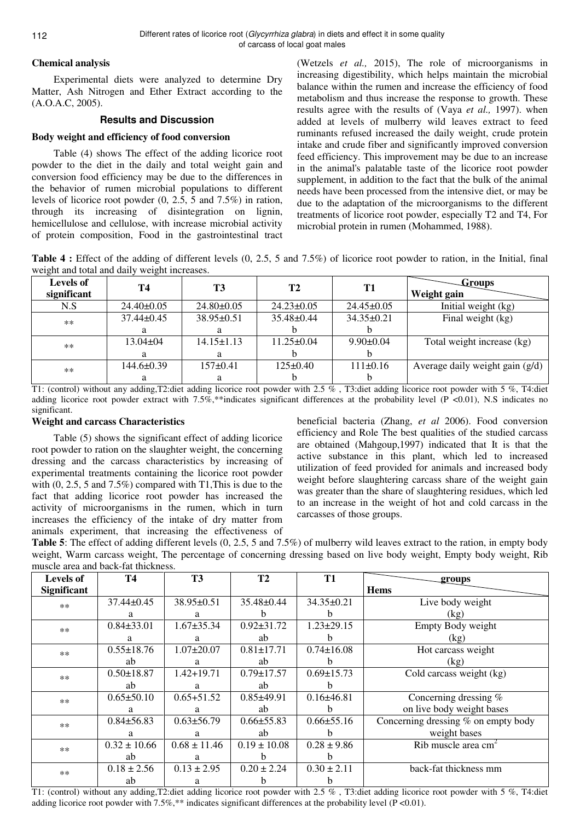## **Chemical analysis**

Experimental diets were analyzed to determine Dry Matter, Ash Nitrogen and Ether Extract according to the (A.O.A.C, 2005).

## **Results and Discussion**

## **Body weight and efficiency of food conversion**

Table (4) shows The effect of the adding licorice root powder to the diet in the daily and total weight gain and conversion food efficiency may be due to the differences in the behavior of rumen microbial populations to different levels of licorice root powder (0, 2.5, 5 and 7.5%) in ration, through its increasing of disintegration on lignin, hemicellulose and cellulose, with increase microbial activity of protein composition, Food in the gastrointestinal tract

(Wetzels *et al.,* 2015), The role of microorganisms in increasing digestibility, which helps maintain the microbial balance within the rumen and increase the efficiency of food metabolism and thus increase the response to growth. These results agree with the results of (Vaya *et al.,* 1997). when added at levels of mulberry wild leaves extract to feed ruminants refused increased the daily weight, crude protein intake and crude fiber and significantly improved conversion feed efficiency. This improvement may be due to an increase in the animal's palatable taste of the licorice root powder supplement, in addition to the fact that the bulk of the animal needs have been processed from the intensive diet, or may be due to the adaptation of the microorganisms to the different treatments of licorice root powder, especially T2 and T4, For microbial protein in rumen (Mohammed, 1988).

**Table 4 :** Effect of the adding of different levels (0, 2.5, 5 and 7.5%) of licorice root powder to ration, in the Initial, final weight and total and daily weight increases.

| <b>Levels of</b><br>significant | T4               | T3               | T <sub>2</sub>   | T1               | <b>Groups</b><br>Weight gain    |
|---------------------------------|------------------|------------------|------------------|------------------|---------------------------------|
| N.S                             | $24.40\pm0.05$   | $24.80 \pm 0.05$ | $24.23 \pm 0.05$ | $24.45 \pm 0.05$ | Initial weight (kg)             |
| $\ast$ $\ast$                   | $37.44 \pm 0.45$ | $38.95\pm0.51$   | $35.48 \pm 0.44$ | $34.35 \pm 0.21$ | Final weight (kg)               |
|                                 | a                |                  |                  |                  |                                 |
| $\ast$ $\ast$                   | $13.04 \pm 04$   | $14.15 \pm 1.13$ | $11.25 \pm 0.04$ | $9.90 \pm 0.04$  | Total weight increase (kg)      |
|                                 | a                |                  |                  |                  |                                 |
| $\ast\ast$                      | $144.6 \pm 0.39$ | $157 \pm 0.41$   | $125 \pm 0.40$   | $111\pm0.16$     | Average daily weight gain (g/d) |
|                                 |                  |                  |                  |                  |                                 |

T1: (control) without any adding,T2:diet adding licorice root powder with 2.5 % , T3:diet adding licorice root powder with 5 %, T4:diet adding licorice root powder extract with 7.5%,\*\*indicates significant differences at the probability level (P <0.01), N.S indicates no significant.

## **Weight and carcass Characteristics**

Table (5) shows the significant effect of adding licorice root powder to ration on the slaughter weight, the concerning dressing and the carcass characteristics by increasing of experimental treatments containing the licorice root powder with  $(0, 2.5, 5, 5, 7\%)$  compared with T1, This is due to the fact that adding licorice root powder has increased the activity of microorganisms in the rumen, which in turn increases the efficiency of the intake of dry matter from animals experiment, that increasing the effectiveness of beneficial bacteria (Zhang, *et al* 2006). Food conversion efficiency and Role The best qualities of the studied carcass are obtained (Mahgoup,1997) indicated that It is that the active substance in this plant, which led to increased utilization of feed provided for animals and increased body weight before slaughtering carcass share of the weight gain was greater than the share of slaughtering residues, which led to an increase in the weight of hot and cold carcass in the carcasses of those groups.

**Table 5**: The effect of adding different levels  $(0, 2.5, 5, 5, 5)$  of mulberry wild leaves extract to the ration, in empty body weight, Warm carcass weight, The percentage of concerning dressing based on live body weight, Empty body weight, Rib muscle area and back-fat thickness.

| <b>Levels of</b>   | <b>T4</b>        | <b>T3</b>        | T <sub>2</sub>   | T <sub>1</sub>   | groups                              |
|--------------------|------------------|------------------|------------------|------------------|-------------------------------------|
| <b>Significant</b> |                  |                  |                  |                  | <b>Hems</b>                         |
| $**$               | $37.44 \pm 0.45$ | 38.95±0.51       | 35.48±0.44       | $34.35 \pm 0.21$ | Live body weight                    |
|                    | a                | a                | h                | b.               | (kg)                                |
| $**$               | $0.84 \pm 33.01$ | $1.67 + 35.34$   | $0.92 \pm 31.72$ | $1.23 \pm 29.15$ | Empty Body weight                   |
|                    | a                | a                | ab               | <sub>b</sub>     | (kg)                                |
| $**$               | $0.55 \pm 18.76$ | $1.07 \pm 20.07$ | $0.81 \pm 17.71$ | $0.74 \pm 16.08$ | Hot carcass weight                  |
|                    | ab               | a                | ab               | h.               | (kg)                                |
| $**$               | $0.50 \pm 18.87$ | $1.42 + 19.71$   | $0.79 \pm 17.57$ | $0.69 \pm 15.73$ | Cold carcass weight (kg)            |
|                    | ab               | a                | ab               | h.               |                                     |
| $**$               | $0.65 \pm 50.10$ | $0.65 + 51.52$   | $0.85 + 49.91$   | $0.16 \pm 46.81$ | Concerning dressing $%$             |
|                    | a                | a                | ab               | b.               | on live body weight bases           |
| $**$               | $0.84 \pm 56.83$ | $0.63 \pm 56.79$ | $0.66 \pm 55.83$ | $0.66 \pm 55.16$ | Concerning dressing % on empty body |
|                    | a                | a                | ab               | h                | weight bases                        |
| $**$               | $0.32 \pm 10.66$ | $0.68 \pm 11.46$ | $0.19 \pm 10.08$ | $0.28 \pm 9.86$  | Rib muscle area $cm2$               |
|                    | ab               | a                | h                | b.               |                                     |
| $**$               | $0.18 \pm 2.56$  | $0.13 \pm 2.95$  | $0.20 \pm 2.24$  | $0.30 \pm 2.11$  | back-fat thickness mm               |
|                    | ab               | a                | n                | h                |                                     |

T1: (control) without any adding,T2:diet adding licorice root powder with 2.5 % , T3:diet adding licorice root powder with 5 %, T4:diet adding licorice root powder with 7.5%,\*\* indicates significant differences at the probability level (P <0.01).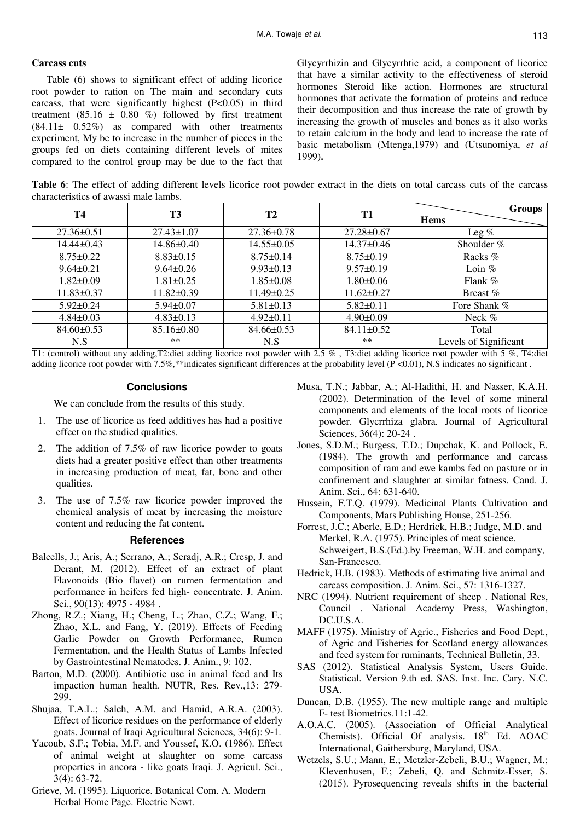## **Carcass cuts**

Table (6) shows to significant effect of adding licorice root powder to ration on The main and secondary cuts carcass, that were significantly highest  $(P<0.05)$  in third treatment (85.16  $\pm$  0.80 %) followed by first treatment (84.11± 0.52%) as compared with other treatments experiment, My be to increase in the number of pieces in the groups fed on diets containing different levels of mites compared to the control group may be due to the fact that Glycyrrhizin and Glycyrrhtic acid, a component of licorice that have a similar activity to the effectiveness of steroid hormones Steroid like action. Hormones are structural hormones that activate the formation of proteins and reduce their decomposition and thus increase the rate of growth by increasing the growth of muscles and bones as it also works to retain calcium in the body and lead to increase the rate of basic metabolism (Mtenga,1979) and (Utsunomiya, *et al* 1999)**.** 

**Table 6**: The effect of adding different levels licorice root powder extract in the diets on total carcass cuts of the carcass characteristics of awassi male lambs.

| <b>T4</b>        | <b>T3</b>        | <b>T2</b>        | T <sub>1</sub>   | <b>Groups</b>         |
|------------------|------------------|------------------|------------------|-----------------------|
|                  |                  |                  |                  | <b>Hems</b>           |
| $27.36 \pm 0.51$ | $27.43 \pm 1.07$ | $27.36 + 0.78$   | $27.28 \pm 0.67$ | Leg $%$               |
| $14.44 \pm 0.43$ | $14.86 \pm 0.40$ | $14.55 \pm 0.05$ | $14.37 \pm 0.46$ | Shoulder $%$          |
| $8.75 \pm 0.22$  | $8.83 \pm 0.15$  | $8.75 \pm 0.14$  | $8.75 \pm 0.19$  | Racks %               |
| $9.64 \pm 0.21$  | $9.64 \pm 0.26$  | $9.93 \pm 0.13$  | $9.57 \pm 0.19$  | Loin $%$              |
| $1.82 \pm 0.09$  | $1.81 \pm 0.25$  | $1.85 \pm 0.08$  | $1.80 \pm 0.06$  | Flank %               |
| $11.83 \pm 0.37$ | $11.82 \pm 0.39$ | $11.49 \pm 0.25$ | $11.62 \pm 0.27$ | Breast $%$            |
| $5.92 \pm 0.24$  | $5.94 \pm 0.07$  | $5.81 \pm 0.13$  | $5.82 \pm 0.11$  | Fore Shank %          |
| $4.84 \pm 0.03$  | $4.83 \pm 0.13$  | $4.92 \pm 0.11$  | $4.90 \pm 0.09$  | Neck %                |
| $84.60 \pm 0.53$ | $85.16 \pm 0.80$ | $84.66 \pm 0.53$ | $84.11 \pm 0.52$ | Total                 |
| N.S              | **               | N.S              | **               | Levels of Significant |

T1: (control) without any adding,T2:diet adding licorice root powder with 2.5 % , T3:diet adding licorice root powder with 5 %, T4:diet adding licorice root powder with 7.5%,\*\*indicates significant differences at the probability level (P <0.01), N.S indicates no significant .

#### **Conclusions**

We can conclude from the results of this study.

- 1. The use of licorice as feed additives has had a positive effect on the studied qualities.
- 2. The addition of 7.5% of raw licorice powder to goats diets had a greater positive effect than other treatments in increasing production of meat, fat, bone and other qualities.
- The use of 7.5% raw licorice powder improved the chemical analysis of meat by increasing the moisture content and reducing the fat content.

## **References**

- Balcells, J.; Aris, A.; Serrano, A.; Seradj, A.R.; Cresp, J. and Derant, M. (2012). Effect of an extract of plant Flavonoids (Bio flavet) on rumen fermentation and performance in heifers fed high- concentrate. J. Anim. Sci., 90(13): 4975 - 4984 .
- Zhong, R.Z.; Xiang, H.; Cheng, L.; Zhao, C.Z.; Wang, F.; Zhao, X.L. and Fang, Y. (2019). Effects of Feeding Garlic Powder on Growth Performance, Rumen Fermentation, and the Health Status of Lambs Infected by Gastrointestinal Nematodes. J. Anim., 9: 102.
- Barton, M.D. (2000). Antibiotic use in animal feed and Its impaction human health. NUTR, Res. Rev.,13: 279- 299.
- Shujaa, T.A.L.; Saleh, A.M. and Hamid, A.R.A. (2003). Effect of licorice residues on the performance of elderly goats. Journal of Iraqi Agricultural Sciences, 34(6): 9-1.
- Yacoub, S.F.; Tobia, M.F. and Youssef, K.O. (1986). Effect of animal weight at slaughter on some carcass properties in ancora - like goats Iraqi. J. Agricul. Sci., 3(4): 63-72.
- Grieve, M. (1995). Liquorice. Botanical Com. A. Modern Herbal Home Page. Electric Newt.
- Musa, T.N.; Jabbar, A.; Al-Hadithi, H. and Nasser, K.A.H. (2002). Determination of the level of some mineral components and elements of the local roots of licorice powder. Glycrrhiza glabra. Journal of Agricultural Sciences, 36(4): 20-24 .
- Jones, S.D.M.; Burgess, T.D.; Dupchak, K. and Pollock, E. (1984). The growth and performance and carcass composition of ram and ewe kambs fed on pasture or in confinement and slaughter at similar fatness. Cand. J. Anim. Sci., 64: 631-640.
- Hussein, F.T.Q. (1979). Medicinal Plants Cultivation and Components, Mars Publishing House, 251-256.
- Forrest, J.C.; Aberle, E.D.; Herdrick, H.B.; Judge, M.D. and Merkel, R.A. (1975). Principles of meat science. Schweigert, B.S.(Ed.).by Freeman, W.H. and company, San-Francesco.
- Hedrick, H.B. (1983). Methods of estimating live animal and carcass composition. J. Anim. Sci., 57: 1316-1327.
- NRC (1994). Nutrient requirement of sheep . National Res, Council . National Academy Press, Washington, DC.U.S.A.
- MAFF (1975). Ministry of Agric., Fisheries and Food Dept., of Agric and Fisheries for Scotland energy allowances and feed system for ruminants, Technical Bulletin, 33.
- SAS (2012). Statistical Analysis System, Users Guide. Statistical. Version 9.th ed. SAS. Inst. Inc. Cary. N.C. USA.
- Duncan, D.B. (1955). The new multiple range and multiple F- test Biometrics.11:1-42.
- A.O.A.C. (2005). (Association of Official Analytical Chemists). Official Of analysis.  $18<sup>th</sup>$  Ed. AOAC International, Gaithersburg, Maryland, USA.
- Wetzels, S.U.; Mann, E.; Metzler-Zebeli, B.U.; Wagner, M.; Klevenhusen, F.; Zebeli, Q. and Schmitz-Esser, S. (2015). Pyrosequencing reveals shifts in the bacterial